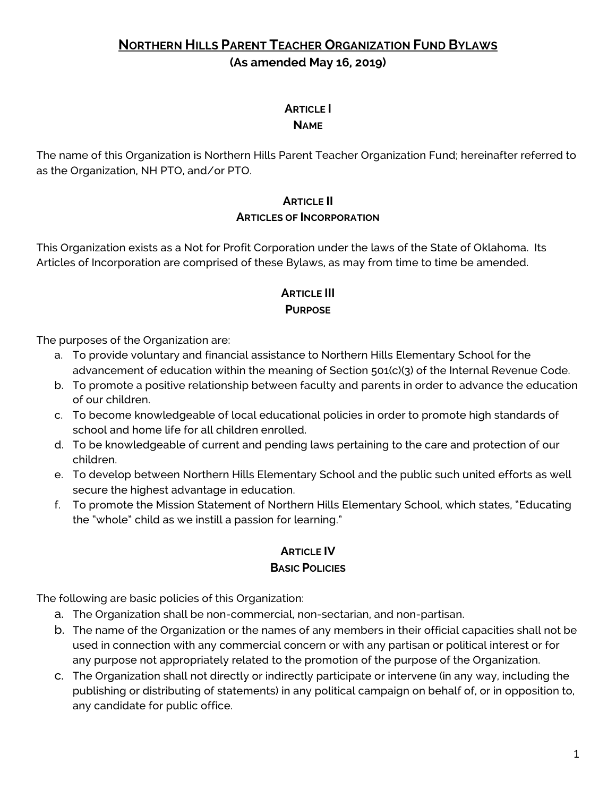# **NORTHERN HILLS PARENT TEACHER ORGANIZATION FUND BYLAWS (As amended May 16, 2019)**

# **ARTICLE I**

#### **NAME**

The name of this Organization is Northern Hills Parent Teacher Organization Fund; hereinafter referred to as the Organization, NH PTO, and/or PTO.

#### **ARTICLE II ARTICLES OF INCORPORATION**

This Organization exists as a Not for Profit Corporation under the laws of the State of Oklahoma. Its Articles of Incorporation are comprised of these Bylaws, as may from time to time be amended.

#### **ARTICLE III PURPOSE**

The purposes of the Organization are:

- a. To provide voluntary and financial assistance to Northern Hills Elementary School for the advancement of education within the meaning of Section 501(c)(3) of the Internal Revenue Code.
- b. To promote a positive relationship between faculty and parents in order to advance the education of our children.
- c. To become knowledgeable of local educational policies in order to promote high standards of school and home life for all children enrolled.
- d. To be knowledgeable of current and pending laws pertaining to the care and protection of our children.
- e. To develop between Northern Hills Elementary School and the public such united efforts as well secure the highest advantage in education.
- f. To promote the Mission Statement of Northern Hills Elementary School, which states, "Educating the "whole" child as we instill a passion for learning."

#### **ARTICLE IV BASIC POLICIES**

The following are basic policies of this Organization:

- a. The Organization shall be non-commercial, non-sectarian, and non-partisan.
- b. The name of the Organization or the names of any members in their official capacities shall not be used in connection with any commercial concern or with any partisan or political interest or for any purpose not appropriately related to the promotion of the purpose of the Organization.
- c. The Organization shall not directly or indirectly participate or intervene (in any way, including the publishing or distributing of statements) in any political campaign on behalf of, or in opposition to, any candidate for public office.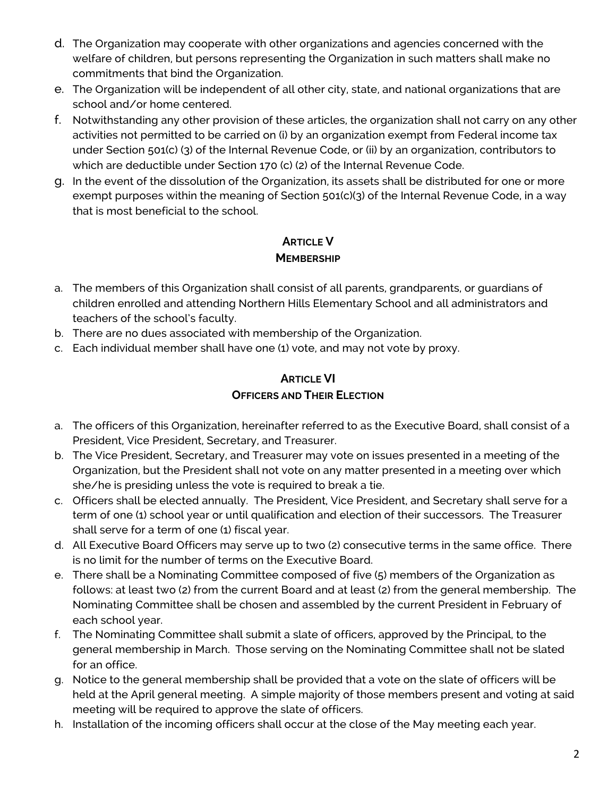- d. The Organization may cooperate with other organizations and agencies concerned with the welfare of children, but persons representing the Organization in such matters shall make no commitments that bind the Organization.
- e. The Organization will be independent of all other city, state, and national organizations that are school and/or home centered.
- f. Notwithstanding any other provision of these articles, the organization shall not carry on any other activities not permitted to be carried on (i) by an organization exempt from Federal income tax under Section 501(c) (3) of the Internal Revenue Code, or (ii) by an organization, contributors to which are deductible under Section 170 (c) (2) of the Internal Revenue Code.
- g. In the event of the dissolution of the Organization, its assets shall be distributed for one or more exempt purposes within the meaning of Section 501(c)(3) of the Internal Revenue Code, in a way that is most beneficial to the school.

# **ARTICLE V MEMBERSHIP**

- a. The members of this Organization shall consist of all parents, grandparents, or guardians of children enrolled and attending Northern Hills Elementary School and all administrators and teachers of the school's faculty.
- b. There are no dues associated with membership of the Organization.
- c. Each individual member shall have one (1) vote, and may not vote by proxy.

# **ARTICLE VI OFFICERS AND THEIR ELECTION**

- a. The officers of this Organization, hereinafter referred to as the Executive Board, shall consist of a President, Vice President, Secretary, and Treasurer.
- b. The Vice President, Secretary, and Treasurer may vote on issues presented in a meeting of the Organization, but the President shall not vote on any matter presented in a meeting over which she/he is presiding unless the vote is required to break a tie.
- c. Officers shall be elected annually. The President, Vice President, and Secretary shall serve for a term of one (1) school year or until qualification and election of their successors. The Treasurer shall serve for a term of one (1) fiscal year.
- d. All Executive Board Officers may serve up to two (2) consecutive terms in the same office. There is no limit for the number of terms on the Executive Board.
- e. There shall be a Nominating Committee composed of five (5) members of the Organization as follows: at least two (2) from the current Board and at least (2) from the general membership. The Nominating Committee shall be chosen and assembled by the current President in February of each school year.
- f. The Nominating Committee shall submit a slate of officers, approved by the Principal, to the general membership in March. Those serving on the Nominating Committee shall not be slated for an office.
- g. Notice to the general membership shall be provided that a vote on the slate of officers will be held at the April general meeting. A simple majority of those members present and voting at said meeting will be required to approve the slate of officers.
- h. Installation of the incoming officers shall occur at the close of the May meeting each year.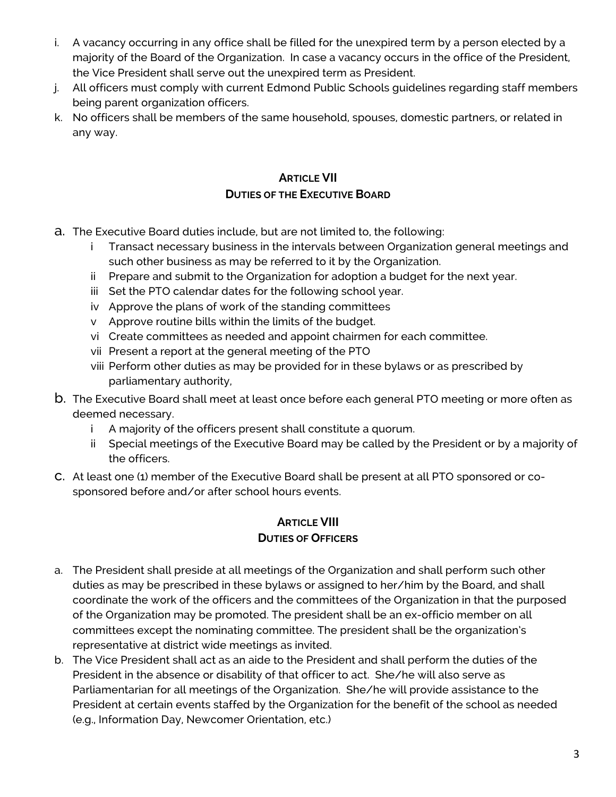- i. A vacancy occurring in any office shall be filled for the unexpired term by a person elected by a majority of the Board of the Organization. In case a vacancy occurs in the office of the President, the Vice President shall serve out the unexpired term as President.
- j. All officers must comply with current Edmond Public Schools guidelines regarding staff members being parent organization officers.
- k. No officers shall be members of the same household, spouses, domestic partners, or related in any way.

## **ARTICLE VII DUTIES OF THE EXECUTIVE BOARD**

- a. The Executive Board duties include, but are not limited to, the following:
	- i Transact necessary business in the intervals between Organization general meetings and such other business as may be referred to it by the Organization.
	- ii Prepare and submit to the Organization for adoption a budget for the next year.
	- iii Set the PTO calendar dates for the following school year.
	- iv Approve the plans of work of the standing committees
	- v Approve routine bills within the limits of the budget.
	- vi Create committees as needed and appoint chairmen for each committee.
	- vii Present a report at the general meeting of the PTO
	- viii Perform other duties as may be provided for in these bylaws or as prescribed by parliamentary authority,
- b. The Executive Board shall meet at least once before each general PTO meeting or more often as deemed necessary.
	- i A majority of the officers present shall constitute a quorum.
	- ii Special meetings of the Executive Board may be called by the President or by a majority of the officers.
- c. At least one (1) member of the Executive Board shall be present at all PTO sponsored or cosponsored before and/or after school hours events.

#### **ARTICLE VIII**

#### **DUTIES OF OFFICERS**

- a. The President shall preside at all meetings of the Organization and shall perform such other duties as may be prescribed in these bylaws or assigned to her/him by the Board, and shall coordinate the work of the officers and the committees of the Organization in that the purposed of the Organization may be promoted. The president shall be an ex-officio member on all committees except the nominating committee. The president shall be the organization's representative at district wide meetings as invited.
- b. The Vice President shall act as an aide to the President and shall perform the duties of the President in the absence or disability of that officer to act. She/he will also serve as Parliamentarian for all meetings of the Organization. She/he will provide assistance to the President at certain events staffed by the Organization for the benefit of the school as needed (e.g., Information Day, Newcomer Orientation, etc.)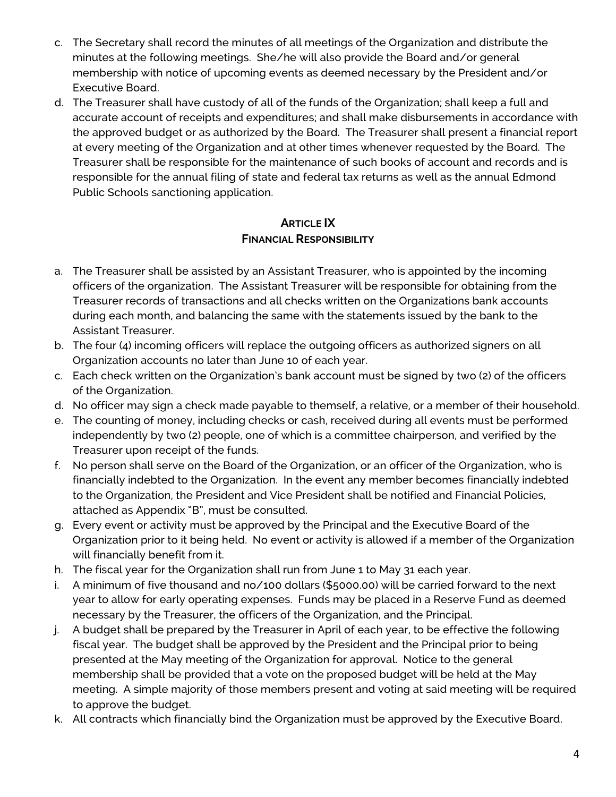- c. The Secretary shall record the minutes of all meetings of the Organization and distribute the minutes at the following meetings. She/he will also provide the Board and/or general membership with notice of upcoming events as deemed necessary by the President and/or Executive Board.
- d. The Treasurer shall have custody of all of the funds of the Organization; shall keep a full and accurate account of receipts and expenditures; and shall make disbursements in accordance with the approved budget or as authorized by the Board. The Treasurer shall present a financial report at every meeting of the Organization and at other times whenever requested by the Board. The Treasurer shall be responsible for the maintenance of such books of account and records and is responsible for the annual filing of state and federal tax returns as well as the annual Edmond Public Schools sanctioning application.

#### **ARTICLE IX FINANCIAL RESPONSIBILITY**

- a. The Treasurer shall be assisted by an Assistant Treasurer, who is appointed by the incoming officers of the organization. The Assistant Treasurer will be responsible for obtaining from the Treasurer records of transactions and all checks written on the Organizations bank accounts during each month, and balancing the same with the statements issued by the bank to the Assistant Treasurer.
- b. The four (4) incoming officers will replace the outgoing officers as authorized signers on all Organization accounts no later than June 10 of each year.
- c. Each check written on the Organization's bank account must be signed by two (2) of the officers of the Organization.
- d. No officer may sign a check made payable to themself, a relative, or a member of their household.
- e. The counting of money, including checks or cash, received during all events must be performed independently by two (2) people, one of which is a committee chairperson, and verified by the Treasurer upon receipt of the funds.
- f. No person shall serve on the Board of the Organization, or an officer of the Organization, who is financially indebted to the Organization. In the event any member becomes financially indebted to the Organization, the President and Vice President shall be notified and Financial Policies, attached as Appendix "B", must be consulted.
- g. Every event or activity must be approved by the Principal and the Executive Board of the Organization prior to it being held. No event or activity is allowed if a member of the Organization will financially benefit from it.
- h. The fiscal year for the Organization shall run from June 1 to May 31 each year.
- i. A minimum of five thousand and no/100 dollars (\$5000.00) will be carried forward to the next year to allow for early operating expenses. Funds may be placed in a Reserve Fund as deemed necessary by the Treasurer, the officers of the Organization, and the Principal.
- j. A budget shall be prepared by the Treasurer in April of each year, to be effective the following fiscal year. The budget shall be approved by the President and the Principal prior to being presented at the May meeting of the Organization for approval. Notice to the general membership shall be provided that a vote on the proposed budget will be held at the May meeting. A simple majority of those members present and voting at said meeting will be required to approve the budget.
- k. All contracts which financially bind the Organization must be approved by the Executive Board.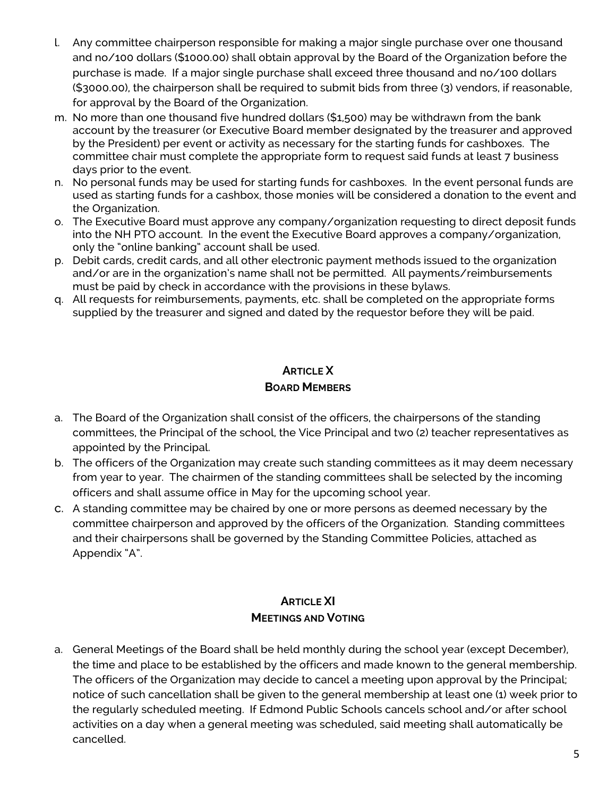- l. Any committee chairperson responsible for making a major single purchase over one thousand and no/100 dollars (\$1000.00) shall obtain approval by the Board of the Organization before the purchase is made. If a major single purchase shall exceed three thousand and no/100 dollars (\$3000.00), the chairperson shall be required to submit bids from three (3) vendors, if reasonable, for approval by the Board of the Organization.
- m. No more than one thousand five hundred dollars (\$1,500) may be withdrawn from the bank account by the treasurer (or Executive Board member designated by the treasurer and approved by the President) per event or activity as necessary for the starting funds for cashboxes. The committee chair must complete the appropriate form to request said funds at least 7 business days prior to the event.
- n. No personal funds may be used for starting funds for cashboxes. In the event personal funds are used as starting funds for a cashbox, those monies will be considered a donation to the event and the Organization.
- o. The Executive Board must approve any company/organization requesting to direct deposit funds into the NH PTO account. In the event the Executive Board approves a company/organization, only the "online banking" account shall be used.
- p. Debit cards, credit cards, and all other electronic payment methods issued to the organization and/or are in the organization's name shall not be permitted. All payments/reimbursements must be paid by check in accordance with the provisions in these bylaws.
- q. All requests for reimbursements, payments, etc. shall be completed on the appropriate forms supplied by the treasurer and signed and dated by the requestor before they will be paid.

# **ARTICLE X BOARD MEMBERS**

- a. The Board of the Organization shall consist of the officers, the chairpersons of the standing committees, the Principal of the school, the Vice Principal and two (2) teacher representatives as appointed by the Principal.
- b. The officers of the Organization may create such standing committees as it may deem necessary from year to year. The chairmen of the standing committees shall be selected by the incoming officers and shall assume office in May for the upcoming school year.
- c. A standing committee may be chaired by one or more persons as deemed necessary by the committee chairperson and approved by the officers of the Organization. Standing committees and their chairpersons shall be governed by the Standing Committee Policies, attached as Appendix "A".

## **ARTICLE XI MEETINGS AND VOTING**

a. General Meetings of the Board shall be held monthly during the school year (except December), the time and place to be established by the officers and made known to the general membership. The officers of the Organization may decide to cancel a meeting upon approval by the Principal; notice of such cancellation shall be given to the general membership at least one (1) week prior to the regularly scheduled meeting. If Edmond Public Schools cancels school and/or after school activities on a day when a general meeting was scheduled, said meeting shall automatically be cancelled.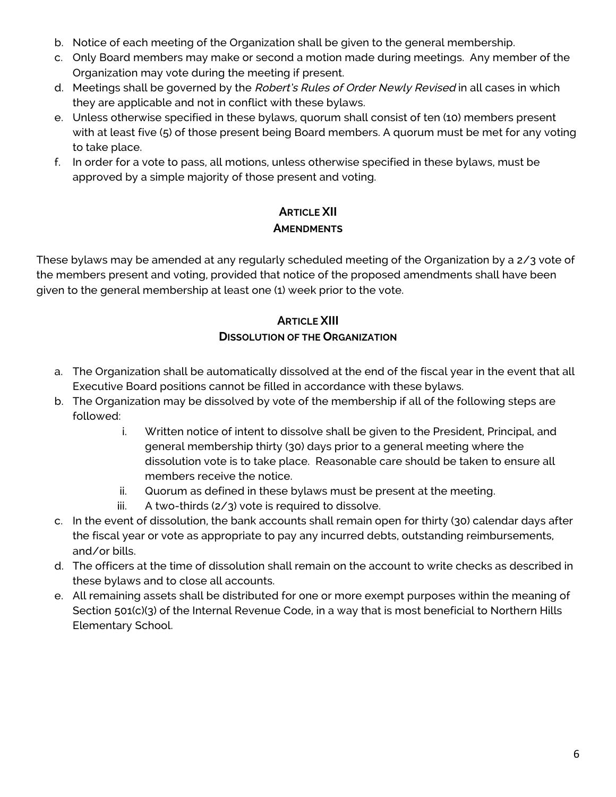- b. Notice of each meeting of the Organization shall be given to the general membership.
- c. Only Board members may make or second a motion made during meetings. Any member of the Organization may vote during the meeting if present.
- d. Meetings shall be governed by the Robert's Rules of Order Newly Revised in all cases in which they are applicable and not in conflict with these bylaws.
- e. Unless otherwise specified in these bylaws, quorum shall consist of ten (10) members present with at least five (5) of those present being Board members. A quorum must be met for any voting to take place.
- f. In order for a vote to pass, all motions, unless otherwise specified in these bylaws, must be approved by a simple majority of those present and voting.

# **ARTICLE XII AMENDMENTS**

These bylaws may be amended at any regularly scheduled meeting of the Organization by a 2/3 vote of the members present and voting, provided that notice of the proposed amendments shall have been given to the general membership at least one (1) week prior to the vote.

# **ARTICLE XIII DISSOLUTION OF THE ORGANIZATION**

- a. The Organization shall be automatically dissolved at the end of the fiscal year in the event that all Executive Board positions cannot be filled in accordance with these bylaws.
- b. The Organization may be dissolved by vote of the membership if all of the following steps are followed:
	- i. Written notice of intent to dissolve shall be given to the President, Principal, and general membership thirty (30) days prior to a general meeting where the dissolution vote is to take place. Reasonable care should be taken to ensure all members receive the notice.
	- ii. Quorum as defined in these bylaws must be present at the meeting.
	- iii. A two-thirds  $(2/3)$  vote is required to dissolve.
- c. In the event of dissolution, the bank accounts shall remain open for thirty (30) calendar days after the fiscal year or vote as appropriate to pay any incurred debts, outstanding reimbursements, and/or bills.
- d. The officers at the time of dissolution shall remain on the account to write checks as described in these bylaws and to close all accounts.
- e. All remaining assets shall be distributed for one or more exempt purposes within the meaning of Section 501(c)(3) of the Internal Revenue Code, in a way that is most beneficial to Northern Hills Elementary School.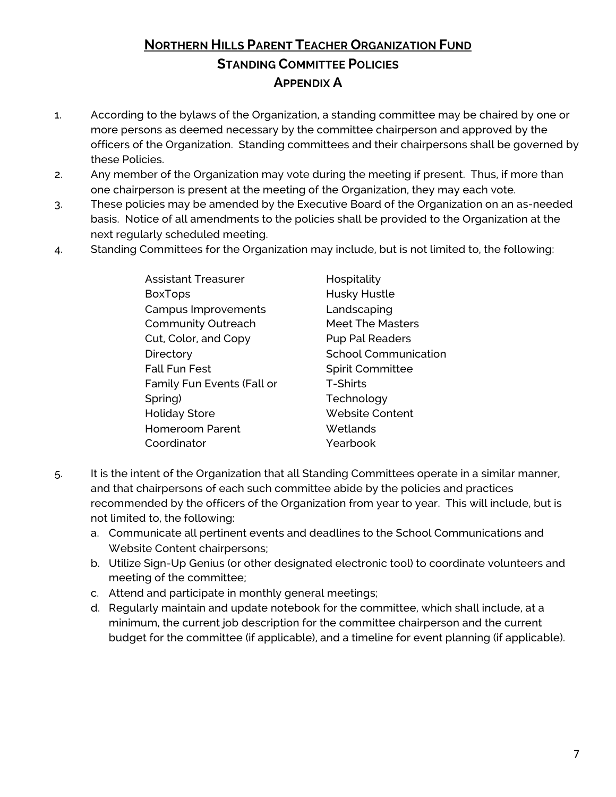# **NORTHERN HILLS PARENT TEACHER ORGANIZATION FUND STANDING COMMITTEE POLICIES APPENDIX A**

- 1. According to the bylaws of the Organization, a standing committee may be chaired by one or more persons as deemed necessary by the committee chairperson and approved by the officers of the Organization. Standing committees and their chairpersons shall be governed by these Policies.
- 2. Any member of the Organization may vote during the meeting if present. Thus, if more than one chairperson is present at the meeting of the Organization, they may each vote.
- 3. These policies may be amended by the Executive Board of the Organization on an as-needed basis. Notice of all amendments to the policies shall be provided to the Organization at the next regularly scheduled meeting.
- 4. Standing Committees for the Organization may include, but is not limited to, the following:

| <b>Assistant Treasurer</b> | Hospitality                 |
|----------------------------|-----------------------------|
| <b>BoxTops</b>             | Husky Hustle                |
| Campus Improvements        | Landscaping                 |
| <b>Community Outreach</b>  | <b>Meet The Masters</b>     |
| Cut, Color, and Copy       | <b>Pup Pal Readers</b>      |
| Directory                  | <b>School Communication</b> |
| <b>Fall Fun Fest</b>       | <b>Spirit Committee</b>     |
| Family Fun Events (Fall or | <b>T-Shirts</b>             |
| Spring)                    | Technology                  |
| <b>Holiday Store</b>       | <b>Website Content</b>      |
| <b>Homeroom Parent</b>     | Wetlands                    |
| Coordinator                | Yearbook                    |
|                            |                             |

- 5. It is the intent of the Organization that all Standing Committees operate in a similar manner, and that chairpersons of each such committee abide by the policies and practices recommended by the officers of the Organization from year to year. This will include, but is not limited to, the following:
	- a. Communicate all pertinent events and deadlines to the School Communications and Website Content chairpersons;
	- b. Utilize Sign-Up Genius (or other designated electronic tool) to coordinate volunteers and meeting of the committee;
	- c. Attend and participate in monthly general meetings;
	- d. Regularly maintain and update notebook for the committee, which shall include, at a minimum, the current job description for the committee chairperson and the current budget for the committee (if applicable), and a timeline for event planning (if applicable).